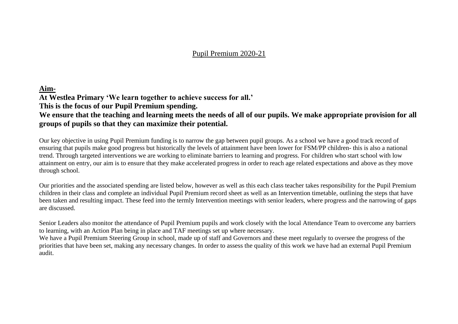### Pupil Premium 2020-21

#### **Aim-**

**At Westlea Primary 'We learn together to achieve success for all.'**

**This is the focus of our Pupil Premium spending.**

## **We ensure that the teaching and learning meets the needs of all of our pupils. We make appropriate provision for all groups of pupils so that they can maximize their potential.**

Our key objective in using Pupil Premium funding is to narrow the gap between pupil groups. As a school we have a good track record of ensuring that pupils make good progress but historically the levels of attainment have been lower for FSM/PP children- this is also a national trend. Through targeted interventions we are working to eliminate barriers to learning and progress. For children who start school with low attainment on entry, our aim is to ensure that they make accelerated progress in order to reach age related expectations and above as they move through school.

Our priorities and the associated spending are listed below, however as well as this each class teacher takes responsibility for the Pupil Premium children in their class and complete an individual Pupil Premium record sheet as well as an Intervention timetable, outlining the steps that have been taken and resulting impact. These feed into the termly Intervention meetings with senior leaders, where progress and the narrowing of gaps are discussed.

Senior Leaders also monitor the attendance of Pupil Premium pupils and work closely with the local Attendance Team to overcome any barriers to learning, with an Action Plan being in place and TAF meetings set up where necessary.

We have a Pupil Premium Steering Group in school, made up of staff and Governors and these meet regularly to oversee the progress of the priorities that have been set, making any necessary changes. In order to assess the quality of this work we have had an external Pupil Premium audit.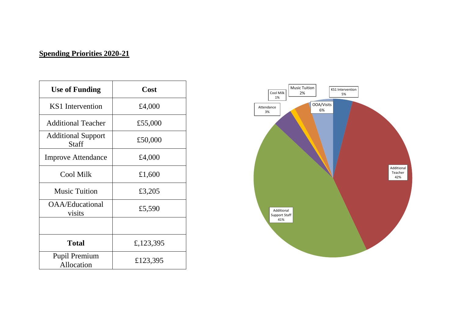# **Spending Priorities 2020-21**

| <b>Use of Funding</b>                     | Cost      |
|-------------------------------------------|-----------|
| KS1 Intervention                          | £4,000    |
| <b>Additional Teacher</b>                 | £55,000   |
| <b>Additional Support</b><br><b>Staff</b> | £50,000   |
| <b>Improve Attendance</b>                 | £4,000    |
| <b>Cool Milk</b>                          | £1,600    |
| <b>Music Tuition</b>                      | £3,205    |
| <b>OAA/Educational</b><br>visits          | £5,590    |
|                                           |           |
| <b>Total</b>                              | £,123,395 |
| <b>Pupil Premium</b><br>Allocation        | £123,395  |

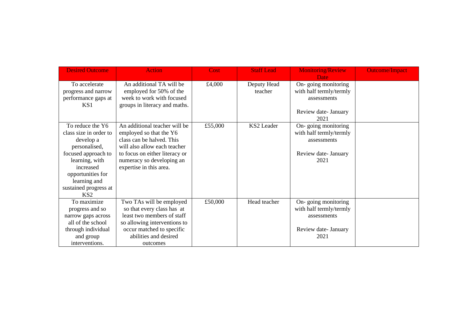| <b>Desired Outcome</b>                                                                                                                                                                                          | <b>Action</b>                                                                                                                                                                                                   | Cost    | <b>Staff Lead</b>      | <b>Monitoring/Review</b>                                                                                           | <b>Outcome/Impact</b> |
|-----------------------------------------------------------------------------------------------------------------------------------------------------------------------------------------------------------------|-----------------------------------------------------------------------------------------------------------------------------------------------------------------------------------------------------------------|---------|------------------------|--------------------------------------------------------------------------------------------------------------------|-----------------------|
| To accelerate<br>progress and narrow<br>performance gaps at<br>KS1                                                                                                                                              | An additional TA will be<br>employed for 50% of the<br>week to work with focused<br>groups in literacy and maths.                                                                                               | £4,000  | Deputy Head<br>teacher | Date <sub>r</sub><br>On-going monitoring<br>with half termly/termly<br>assessments<br>Review date- January<br>2021 |                       |
| To reduce the Y6<br>class size in order to<br>develop a<br>personalised,<br>focused approach to<br>learning, with<br>increased<br>opportunities for<br>learning and<br>sustained progress at<br>KS <sub>2</sub> | An additional teacher will be<br>employed so that the Y6<br>class can be halved. This<br>will also allow each teacher<br>to focus on either literacy or<br>numeracy so developing an<br>expertise in this area. | £55,000 | KS2 Leader             | On-going monitoring<br>with half termly/termly<br>assessments<br>Review date- January<br>2021                      |                       |
| To maximize<br>progress and so<br>narrow gaps across<br>all of the school<br>through individual<br>and group<br>interventions.                                                                                  | Two TAs will be employed<br>so that every class has at<br>least two members of staff<br>so allowing interventions to<br>occur matched to specific<br>abilities and desired<br>outcomes                          | £50,000 | Head teacher           | On-going monitoring<br>with half termly/termly<br>assessments<br>Review date- January<br>2021                      |                       |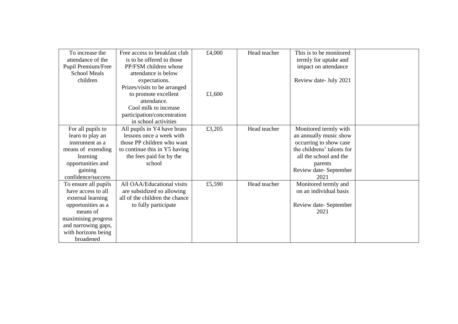| To increase the      | Free access to breakfast club  | £4,000 | Head teacher | This is to be monitored    |  |
|----------------------|--------------------------------|--------|--------------|----------------------------|--|
| attendance of the    | is to be offered to those      |        |              | termly for uptake and      |  |
| Pupil Premium/Free   | PP/FSM children whose          |        |              | impact on attendance       |  |
| <b>School Meals</b>  | attendance is below            |        |              |                            |  |
| children             | expectations.                  |        |              | Review date- July 2021     |  |
|                      | Prizes/visits to be arranged   |        |              |                            |  |
|                      | to promote excellent           | £1,600 |              |                            |  |
|                      | attendance.                    |        |              |                            |  |
|                      | Cool milk to increase          |        |              |                            |  |
|                      | participation/concentration    |        |              |                            |  |
|                      | in school activities           |        |              |                            |  |
| For all pupils to    | All pupils in Y4 have brass    | £3,205 | Head teacher | Monitored termly with      |  |
| learn to play an     | lessons once a week with       |        |              | an annually music show     |  |
| instrument as a      | those PP children who want     |        |              | occurring to show case     |  |
| means of extending   | to continue this in Y5 having  |        |              | the childrens' talents for |  |
| learning             | the fees paid for by the       |        |              | all the school and the     |  |
| opportunities and    | school                         |        |              | parents                    |  |
| gaining              |                                |        |              | Review date-September      |  |
| confidence/success   |                                |        |              | 2021                       |  |
| To ensure all pupils | All OAA/Educational visits     | £5,590 | Head teacher | Monitored termly and       |  |
| have access to all   | are subsidized so allowing     |        |              | on an individual basis     |  |
| external learning    | all of the children the chance |        |              |                            |  |
| opportunities as a   | to fully participate           |        |              | Review date-September      |  |
| means of             |                                |        |              | 2021                       |  |
| maximising progress  |                                |        |              |                            |  |
| and narrowing gaps,  |                                |        |              |                            |  |
| with horizons being  |                                |        |              |                            |  |
| broadened            |                                |        |              |                            |  |